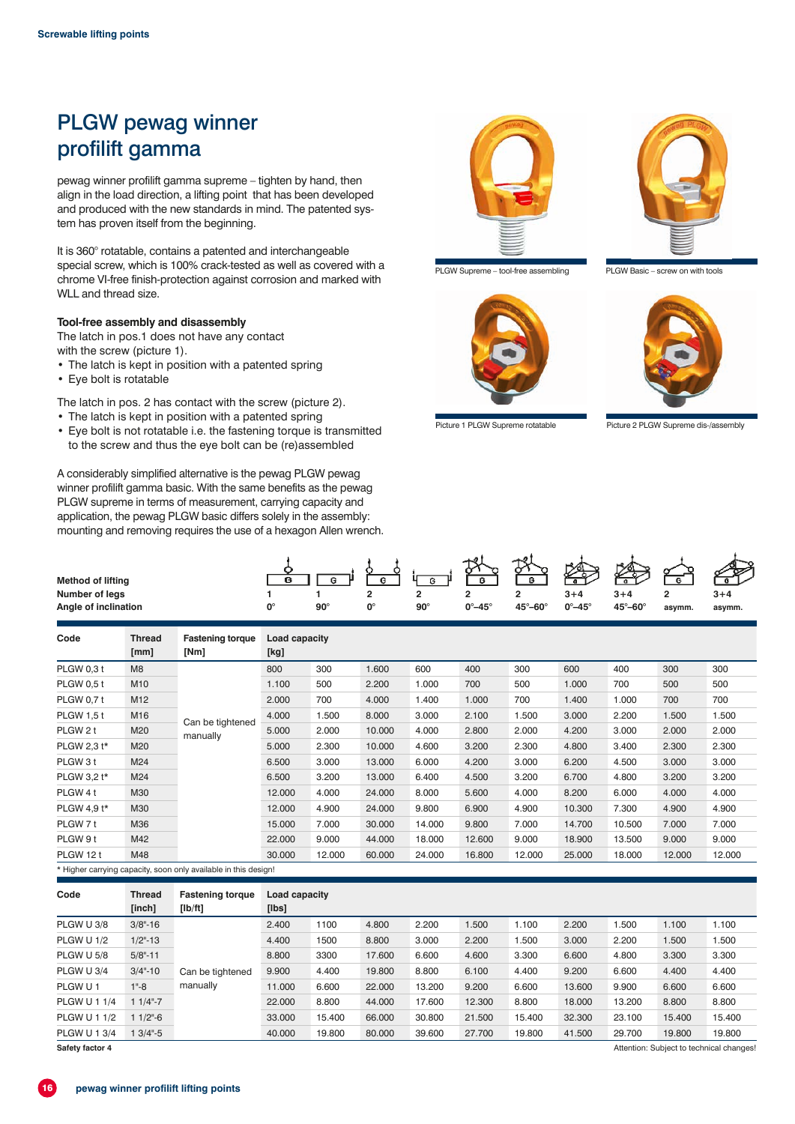# PLGW pewag winner profilift gamma

pewag winner profilift gamma supreme – tighten by hand, then align in the load direction, a lifting point that has been developed and produced with the new standards in mind. The patented system has proven itself from the beginning.

It is 360° rotatable, contains a patented and interchangeable special screw, which is 100% crack-tested as well as covered with a chrome VI-free finish-protection against corrosion and marked with WLL and thread size.

#### **Tool-free assembly and disassembly**

The latch in pos.1 does not have any contact with the screw (picture 1).

- The latch is kept in position with a patented spring
- Eye bolt is rotatable

**Method of lifting**

The latch in pos. 2 has contact with the screw (picture 2).

- The latch is kept in position with a patented spring
- Eye bolt is not rotatable i.e. the fastening torque is transmitted to the screw and thus the eye bolt can be (re)assembled

A considerably simplified alternative is the pewag PLGW pewag winner profilift gamma basic. With the same benefits as the pewag PLGW supreme in terms of measurement, carrying capacity and application, the pewag PLGW basic differs solely in the assembly: mounting and removing requires the use of a hexagon Allen wrench.



PLGW Supreme – tool-free assembling PLGW Basic – screw on with tools





Picture 1 PLGW Supreme rotatable Picture 2 PLGW Supreme dis-/assembly



| Code              | Thread | <b>Fastening torque</b>                                         | Load capacity |        |        |        |        |        |        |        |        |        |
|-------------------|--------|-----------------------------------------------------------------|---------------|--------|--------|--------|--------|--------|--------|--------|--------|--------|
|                   | [mm]   | [Nm]                                                            | [kg]          |        |        |        |        |        |        |        |        |        |
| <b>PLGW 0.3 t</b> | M8     |                                                                 | 800           | 300    | 1.600  | 600    | 400    | 300    | 600    | 400    | 300    | 300    |
| <b>PLGW 0.5 t</b> | M10    |                                                                 | 1.100         | 500    | 2.200  | 1.000  | 700    | 500    | 1.000  | 700    | 500    | 500    |
| <b>PLGW 0.7 t</b> | M12    |                                                                 | 2.000         | 700    | 4.000  | 1.400  | 1.000  | 700    | 1.400  | 1.000  | 700    | 700    |
| <b>PLGW 1.5 t</b> | M16    | Can be tightened                                                | 4.000         | 1.500  | 8.000  | 3.000  | 2.100  | 1.500  | 3.000  | 2.200  | 1.500  | 1.500  |
| PLGW 2 t          | M20    | manually                                                        | 5.000         | 2.000  | 10.000 | 4.000  | 2.800  | 2.000  | 4.200  | 3.000  | 2.000  | 2.000  |
| PLGW 2,3 t*       | M20    |                                                                 | 5.000         | 2.300  | 10.000 | 4.600  | 3.200  | 2.300  | 4.800  | 3.400  | 2.300  | 2.300  |
| PLGW 3 t          | M24    |                                                                 | 6.500         | 3.000  | 13.000 | 6.000  | 4.200  | 3.000  | 6.200  | 4.500  | 3.000  | 3.000  |
| PLGW 3,2 t*       | M24    |                                                                 | 6.500         | 3.200  | 13.000 | 6.400  | 4.500  | 3.200  | 6.700  | 4.800  | 3.200  | 3.200  |
| PLGW 4 t          | M30    |                                                                 | 12.000        | 4.000  | 24.000 | 8.000  | 5.600  | 4.000  | 8.200  | 6.000  | 4.000  | 4.000  |
| PLGW 4,9 t*       | M30    |                                                                 | 12.000        | 4.900  | 24.000 | 9.800  | 6.900  | 4.900  | 10.300 | 7.300  | 4.900  | 4.900  |
| PLGW 7 t          | M36    |                                                                 | 15.000        | 7.000  | 30.000 | 14.000 | 9.800  | 7.000  | 14.700 | 10.500 | 7.000  | 7.000  |
| PLGW 9 t          | M42    |                                                                 | 22.000        | 9.000  | 44.000 | 18.000 | 12.600 | 9.000  | 18.900 | 13.500 | 9.000  | 9.000  |
| PLGW 12 t         | M48    |                                                                 | 30.000        | 12.000 | 60.000 | 24.000 | 16.800 | 12.000 | 25.000 | 18.000 | 12.000 | 12.000 |
|                   |        | * Higher carrying capacity, soon only available in this design! |               |        |        |        |        |        |        |        |        |        |

| Code                | <b>Thread</b><br>[inch] | <b>Fastening torque</b><br>[lb/ft] | Load capacity<br>[lbs] |        |        |        |        |        |        |        |        |                                          |
|---------------------|-------------------------|------------------------------------|------------------------|--------|--------|--------|--------|--------|--------|--------|--------|------------------------------------------|
| PLGW U 3/8          | $3/8 - 16$              | Can be tightened<br>manually       | 2.400                  | 1100   | 4.800  | 2.200  | 1.500  | 1.100  | 2.200  | 1.500  | 1.100  | 1.100                                    |
| PLGW U 1/2          | $1/2 - 13$              |                                    | 4.400                  | 1500   | 8.800  | 3.000  | 2.200  | .500   | 3.000  | 2.200  | 1.500  | 1.500                                    |
| PLGW U 5/8          | $5/8" - 11$             |                                    | 8.800                  | 3300   | 17.600 | 6.600  | 4.600  | 3.300  | 6.600  | 4.800  | 3.300  | 3.300                                    |
| PLGW U 3/4          | $3/4 - 10$              |                                    | 9.900                  | 4.400  | 19,800 | 8.800  | 6.100  | 4.400  | 9.200  | 6.600  | 4.400  | 4.400                                    |
| PLGW U1             | $1 - 8$                 |                                    | 11.000                 | 6.600  | 22,000 | 13.200 | 9.200  | 6.600  | 13.600 | 9.900  | 6.600  | 6.600                                    |
| <b>PLGW U 1 1/4</b> | $11/4-.7$               |                                    | 22,000                 | 8.800  | 44.000 | 17.600 | 12,300 | 8.800  | 18,000 | 13.200 | 8.800  | 8.800                                    |
| <b>PLGW U 1 1/2</b> | $11/2 - 6$              |                                    | 33,000                 | 15.400 | 66,000 | 30,800 | 21.500 | 15.400 | 32,300 | 23.100 | 15.400 | 15.400                                   |
| <b>PLGW U 1 3/4</b> | $13/4-.5$               |                                    | 40.000                 | 19,800 | 80,000 | 39,600 | 27,700 | 19,800 | 41.500 | 29.700 | 19,800 | 19.800                                   |
| Safety factor 4     |                         |                                    |                        |        |        |        |        |        |        |        |        | Attention: Subject to technical changes! |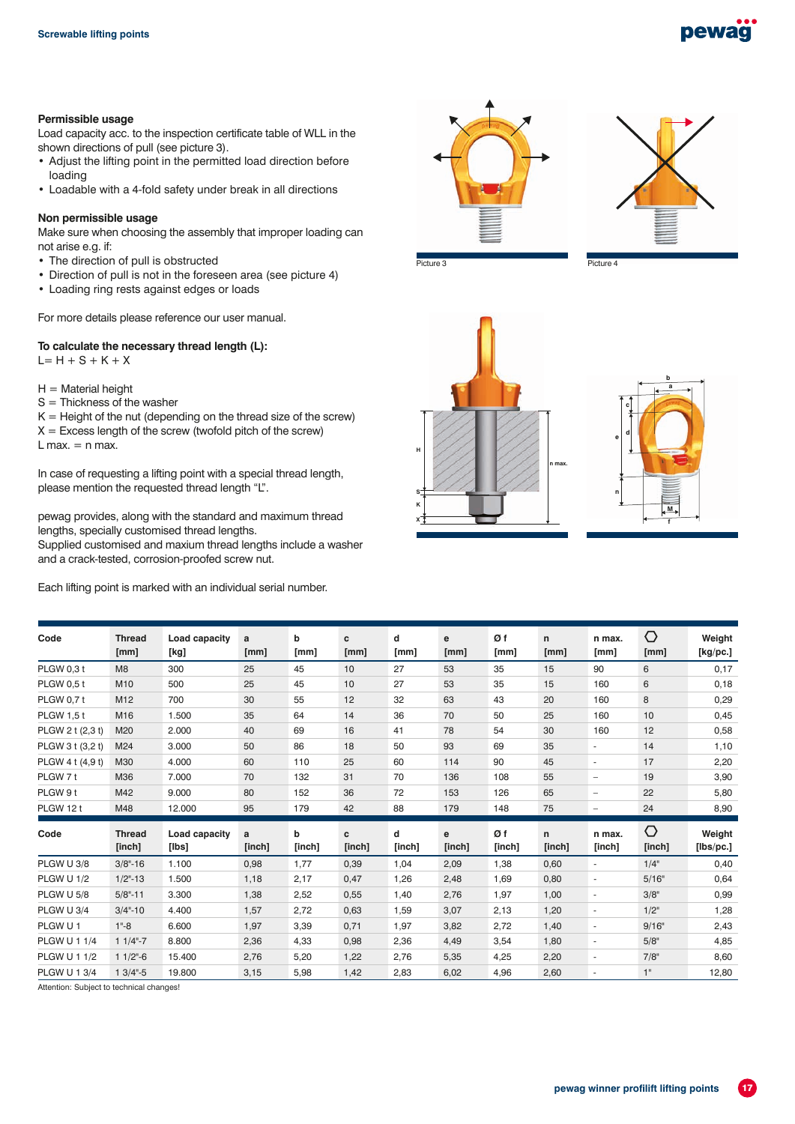### pewag

#### **Permissible usage**

Load capacity acc. to the inspection certificate table of WLL in the shown directions of pull (see picture 3).

- Adjust the lifting point in the permitted load direction before loading
- Loadable with a 4-fold safety under break in all directions

#### **Non permissible usage**

Make sure when choosing the assembly that improper loading can not arise e.g. if:

- The direction of pull is obstructed
- Direction of pull is not in the foreseen area (see picture 4)
- Loading ring rests against edges or loads

For more details please reference our user manual.

### **To calculate the necessary thread length (L):**

 $L = H + S + K + X$ 

- $H =$  Material height
- S = Thickness of the washer

 $K =$  Height of the nut (depending on the thread size of the screw)  $X =$  Excess length of the screw (twofold pitch of the screw)  $L$  max.  $=$  n max.

In case of requesting a lifting point with a special thread length, please mention the requested thread length "L".

pewag provides, along with the standard and maximum thread lengths, specially customised thread lengths.

Supplied customised and maxium thread lengths include a washer and a crack-tested, corrosion-proofed screw nut.

Each lifting point is marked with an individual serial number.





Picture 3 **Picture 4** Picture 4





| Code                | <b>Thread</b><br>[mm]   | Load capacity<br>[kg]        | a<br>[mm]   | b<br>[mm]   | c<br>[mm]   | d<br>[mm]   | e<br>[mm]   | Øf<br>[mm]   | $\mathsf{n}$<br>[mm] | n max.<br>[mm]           | $\circlearrowright$<br>[mm]   | Weight<br>[kg/pc.]  |
|---------------------|-------------------------|------------------------------|-------------|-------------|-------------|-------------|-------------|--------------|----------------------|--------------------------|-------------------------------|---------------------|
| <b>PLGW 0.3 t</b>   | M8                      | 300                          | 25          | 45          | 10          | 27          | 53          | 35           | 15                   | 90                       | 6                             | 0,17                |
| <b>PLGW 0.5 t</b>   | M <sub>10</sub>         | 500                          | 25          | 45          | 10          | 27          | 53          | 35           | 15                   | 160                      | 6                             | 0,18                |
| <b>PLGW 0.7 t</b>   | M <sub>12</sub>         | 700                          | 30          | 55          | 12          | 32          | 63          | 43           | 20                   | 160                      | 8                             | 0,29                |
| <b>PLGW 1.5 t</b>   | M16                     | 1.500                        | 35          | 64          | 14          | 36          | 70          | 50           | 25                   | 160                      | 10                            | 0,45                |
| PLGW 2 t (2,3 t)    | M20                     | 2.000                        | 40          | 69          | 16          | 41          | 78          | 54           | 30                   | 160                      | 12                            | 0,58                |
| PLGW 3 t (3,2 t)    | M24                     | 3.000                        | 50          | 86          | 18          | 50          | 93          | 69           | 35                   | ٠                        | 14                            | 1,10                |
| PLGW 4 t (4,9 t)    | M30                     | 4.000                        | 60          | 110         | 25          | 60          | 114         | 90           | 45                   | $\overline{\phantom{a}}$ | 17                            | 2,20                |
| PLGW 7 t            | M36                     | 7.000                        | 70          | 132         | 31          | 70          | 136         | 108          | 55                   | $\overline{\phantom{0}}$ | 19                            | 3,90                |
| PLGW 9 t            | M42                     | 9.000                        | 80          | 152         | 36          | 72          | 153         | 126          | 65                   | $\overline{\phantom{0}}$ | 22                            | 5,80                |
| PLGW 12 t           | M48                     | 12.000                       | 95          | 179         | 42          | 88          | 179         | 148          | 75                   | $\overline{\phantom{0}}$ | 24                            | 8,90                |
| Code                | <b>Thread</b><br>[inch] | Load capacity<br>$[$ lbs $]$ | a<br>[inch] | b<br>[inch] | c<br>[inch] | d<br>[inch] | e<br>[inch] | Øf<br>[inch] | n<br>[inch]          | n max.<br>[inch]         | $\circlearrowright$<br>[inch] | Weight<br>[Ibs/pc.] |
| PLGW U 3/8          | $3/8 - 16$              | 1.100                        | 0,98        | 1,77        | 0,39        | 1,04        | 2,09        | 1,38         | 0,60                 | ÷,                       | $1/4$ "                       | 0,40                |
| PLGW U 1/2          | $1/2$ "-13              | 1.500                        | 1,18        | 2,17        | 0,47        | 1,26        | 2,48        | 1,69         | 0,80                 | $\overline{a}$           | 5/16"                         | 0,64                |
| PLGW U 5/8          | $5/8" - 11$             | 3.300                        | 1,38        | 2,52        | 0,55        | 1,40        | 2,76        | 1,97         | 1,00                 | $\overline{a}$           | 3/8"                          | 0,99                |
| PLGW U 3/4          | $3/4 - 10$              | 4.400                        | 1,57        | 2,72        | 0,63        | 1,59        | 3,07        | 2,13         | 1,20                 | $\overline{\phantom{a}}$ | $1/2$ "                       | 1,28                |
| PLGW U1             | $1 - 8$                 | 6.600                        | 1,97        | 3,39        | 0,71        | 1,97        | 3,82        | 2,72         | 1,40                 | $\overline{\phantom{a}}$ | 9/16"                         | 2,43                |
| <b>PLGW U 1 1/4</b> | $11/4-.7$               | 8.800                        | 2,36        | 4,33        | 0,98        | 2,36        | 4,49        | 3,54         | 1,80                 | $\overline{\phantom{a}}$ | 5/8"                          | 4,85                |
| <b>PLGW U 1 1/2</b> | $11/2$ "-6              | 15.400                       | 2,76        | 5,20        | 1,22        | 2,76        | 5,35        | 4,25         | 2,20                 | ٠                        | 7/8"                          | 8,60                |
| <b>PLGW U 1 3/4</b> | $13/4-.5$               | 19,800                       | 3,15        | 5,98        | 1,42        | 2,83        | 6,02        | 4,96         | 2,60                 | $\overline{\phantom{a}}$ | 1"                            | 12,80               |

Attention: Subject to technical changes!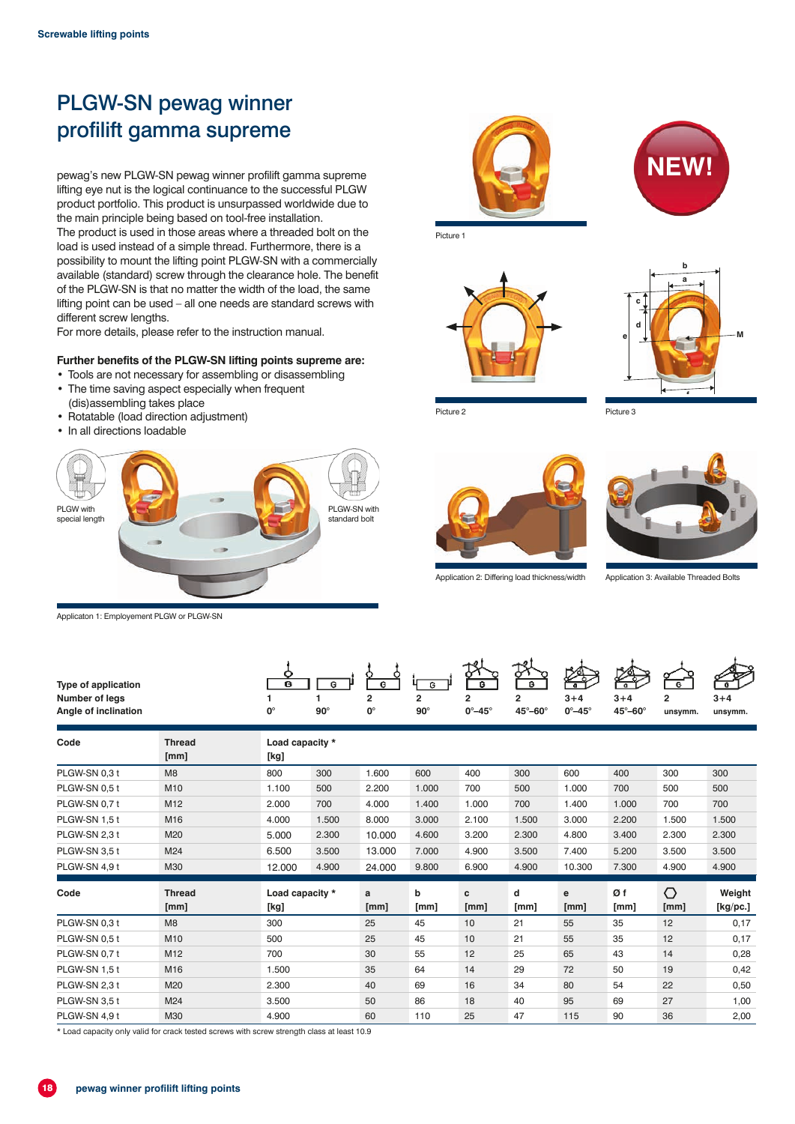# PLGW-SN pewag winner profilift gamma supreme

pewag's new PLGW-SN pewag winner profilift gamma supreme lifting eye nut is the logical continuance to the successful PLGW product portfolio. This product is unsurpassed worldwide due to the main principle being based on tool-free installation.

The product is used in those areas where a threaded bolt on the load is used instead of a simple thread. Furthermore, there is a possibility to mount the lifting point PLGW-SN with a commercially available (standard) screw through the clearance hole. The benefit of the PLGW-SN is that no matter the width of the load, the same lifting point can be used – all one needs are standard screws with different screw lengths.

For more details, please refer to the instruction manual.

#### **Further benefits of the PLGW-SN lifting points supreme are:**

- Tools are not necessary for assembling or disassembling • The time saving aspect especially when frequent
- (dis)assembling takes place
- Rotatable (load direction adjustment)
- In all directions loadable



Applicaton 1: Employement PLGW or PLGW-SN

Picture 1





**NEW!**

Picture 2 Picture 3





Application 2: Differing load thickness/width

| <b>Type of application</b><br><b>Number of legs</b><br>Angle of inclination |                       | G<br>$0^{\circ}$        | G<br>$90^\circ$ | G<br>$\overline{2}$<br>0° | $\overline{G}$<br>$\overline{2}$<br>$90^\circ$ | в<br>$\overline{2}$<br>$0^\circ - 45^\circ$ | ራኝ<br>в<br>$\overline{2}$<br>$45^\circ - 60^\circ$ | $\overline{\mathbf{a}}$<br>$3 + 4$<br>$0^\circ - 45^\circ$ | $\overline{\mathbf{a}}$<br>$3 + 4$<br>45°-60° | G<br>$\overline{2}$<br>unsymm. | $3 + 4$<br>unsymm. |
|-----------------------------------------------------------------------------|-----------------------|-------------------------|-----------------|---------------------------|------------------------------------------------|---------------------------------------------|----------------------------------------------------|------------------------------------------------------------|-----------------------------------------------|--------------------------------|--------------------|
| Code                                                                        | <b>Thread</b><br>[mm] | Load capacity *<br>[kg] |                 |                           |                                                |                                             |                                                    |                                                            |                                               |                                |                    |
| PLGW-SN 0,3 t                                                               | M8                    | 800                     | 300             | 1.600                     | 600                                            | 400                                         | 300                                                | 600                                                        | 400                                           | 300                            | 300                |
| PLGW-SN 0.5 t                                                               | M10                   | 1.100                   | 500             | 2.200                     | 1.000                                          | 700                                         | 500                                                | 1.000                                                      | 700                                           | 500                            | 500                |
| PLGW-SN 0,7 t                                                               | M <sub>12</sub>       | 2.000                   | 700             | 4.000                     | 1.400                                          | 1.000                                       | 700                                                | 1.400                                                      | 1.000                                         | 700                            | 700                |
| PLGW-SN 1.5 t                                                               | M16                   | 4.000                   | 1.500           | 8.000                     | 3.000                                          | 2.100                                       | 1.500                                              | 3.000                                                      | 2.200                                         | 1.500                          | 1.500              |
| PLGW-SN 2,3 t                                                               | M20                   | 5.000                   | 2.300           | 10,000                    | 4.600                                          | 3.200                                       | 2.300                                              | 4.800                                                      | 3.400                                         | 2.300                          | 2.300              |
| PLGW-SN 3.5 t                                                               | M24                   | 6.500                   | 3.500           | 13.000                    | 7.000                                          | 4.900                                       | 3.500                                              | 7.400                                                      | 5.200                                         | 3.500                          | 3.500              |
| PLGW-SN 4,9 t                                                               | M30                   | 12.000                  | 4.900           | 24,000                    | 9.800                                          | 6.900                                       | 4.900                                              | 10.300                                                     | 7.300                                         | 4.900                          | 4.900              |
| Code                                                                        | <b>Thread</b><br>[mm] | Load capacity *<br>[kg] |                 | a<br>[mm]                 | b<br>[mm]                                      | c<br>[mm]                                   | d<br>[mm]                                          | е<br>[mm]                                                  | Øf<br>[mm]                                    | ↷<br>[mm]                      | Weight<br>[Kg/pc.] |
| PLGW-SN 0.3 t                                                               | M8                    | 300                     |                 | 25                        | 45                                             | 10                                          | 21                                                 | 55                                                         | 35                                            | 12                             | 0,17               |
| PLGW-SN 0.5 t                                                               | M10                   | 500                     |                 | 25                        | 45                                             | 10                                          | 21                                                 | 55                                                         | 35                                            | 12                             | 0,17               |
| PLGW-SN 0,7 t                                                               | M <sub>12</sub>       | 700                     |                 | 30                        | 55                                             | 12                                          | 25                                                 | 65                                                         | 43                                            | 14                             | 0,28               |
| PLGW-SN 1.5 t                                                               | M16                   | 1.500                   |                 | 35                        | 64                                             | 14                                          | 29                                                 | 72                                                         | 50                                            | 19                             | 0,42               |
| PLGW-SN 2,3 t                                                               | M20                   | 2.300                   |                 | 40                        | 69                                             | 16                                          | 34                                                 | 80                                                         | 54                                            | 22                             | 0,50               |
| PLGW-SN 3,5 t                                                               | M24                   | 3.500                   |                 | 50                        | 86                                             | 18                                          | 40                                                 | 95                                                         | 69                                            | 27                             | 1,00               |
| PLGW-SN 4.9 t                                                               | M30                   | 4.900                   |                 | 60                        | 110                                            | 25                                          | 47                                                 | 115                                                        | 90                                            | 36                             | 2,00               |

\* Load capacity only valid for crack tested screws with screw strength class at least 10.9